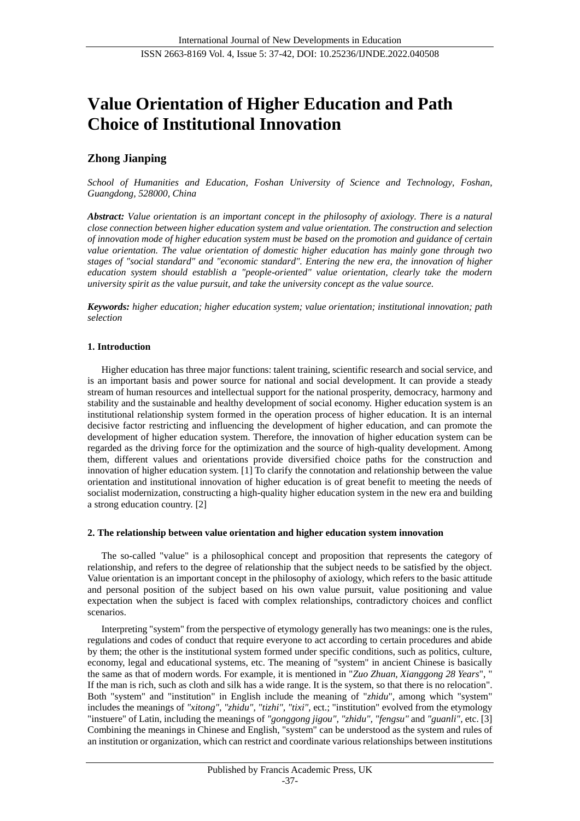# **Value Orientation of Higher Education and Path Choice of Institutional Innovation**

# **Zhong Jianping**

*School of Humanities and Education, Foshan University of Science and Technology, Foshan, Guangdong, 528000, China*

*Abstract: Value orientation is an important concept in the philosophy of axiology. There is a natural close connection between higher education system and value orientation. The construction and selection of innovation mode of higher education system must be based on the promotion and guidance of certain value orientation. The value orientation of domestic higher education has mainly gone through two stages of "social standard" and "economic standard". Entering the new era, the innovation of higher education system should establish a "people-oriented" value orientation, clearly take the modern university spirit as the value pursuit, and take the university concept as the value source.*

*Keywords: higher education; higher education system; value orientation; institutional innovation; path selection*

### **1. Introduction**

Higher education has three major functions: talent training, scientific research and social service, and is an important basis and power source for national and social development. It can provide a steady stream of human resources and intellectual support for the national prosperity, democracy, harmony and stability and the sustainable and healthy development of social economy. Higher education system is an institutional relationship system formed in the operation process of higher education. It is an internal decisive factor restricting and influencing the development of higher education, and can promote the development of higher education system. Therefore, the innovation of higher education system can be regarded as the driving force for the optimization and the source of high-quality development. Among them, different values and orientations provide diversified choice paths for the construction and innovation of higher education system. [1] To clarify the connotation and relationship between the value orientation and institutional innovation of higher education is of great benefit to meeting the needs of socialist modernization, constructing a high-quality higher education system in the new era and building a strong education country. [2]

#### **2. The relationship between value orientation and higher education system innovation**

The so-called "value" is a philosophical concept and proposition that represents the category of relationship, and refers to the degree of relationship that the subject needs to be satisfied by the object. Value orientation is an important concept in the philosophy of axiology, which refers to the basic attitude and personal position of the subject based on his own value pursuit, value positioning and value expectation when the subject is faced with complex relationships, contradictory choices and conflict scenarios.

Interpreting "system" from the perspective of etymology generally has two meanings: one is the rules, regulations and codes of conduct that require everyone to act according to certain procedures and abide by them; the other is the institutional system formed under specific conditions, such as politics, culture, economy, legal and educational systems, etc. The meaning of "system" in ancient Chinese is basically the same as that of modern words. For example, it is mentioned in "*Zuo Zhuan, Xianggong 28 Years*", " If the man is rich, such as cloth and silk has a wide range. It is the system, so that there is no relocation". Both "system" and "institution" in English include the meaning of "*zhidu*", among which "system" includes the meanings of *"xitong", "zhidu", "tizhi", "tixi",* ect.; "institution" evolved from the etymology "instuere" of Latin, including the meanings of *"gonggong jigou", "zhidu", "fengsu"* and *"guanli",* etc. [3] Combining the meanings in Chinese and English, "system" can be understood as the system and rules of an institution or organization, which can restrict and coordinate various relationships between institutions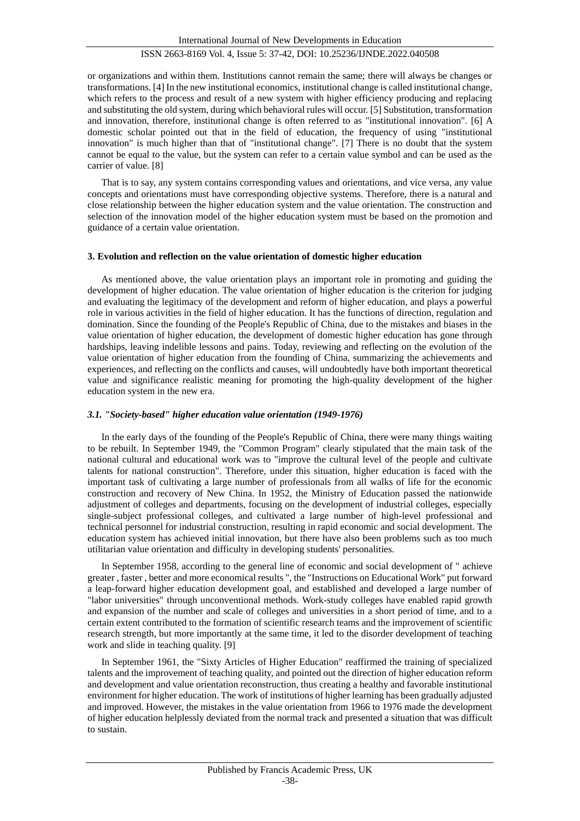or organizations and within them. Institutions cannot remain the same; there will always be changes or transformations. [4] In the new institutional economics, institutional change is called institutional change, which refers to the process and result of a new system with higher efficiency producing and replacing and substituting the old system, during which behavioral rules will occur. [5] Substitution, transformation and innovation, therefore, institutional change is often referred to as "institutional innovation". [6] A domestic scholar pointed out that in the field of education, the frequency of using "institutional innovation" is much higher than that of "institutional change". [7] There is no doubt that the system cannot be equal to the value, but the system can refer to a certain value symbol and can be used as the carrier of value. [8]

That is to say, any system contains corresponding values and orientations, and vice versa, any value concepts and orientations must have corresponding objective systems. Therefore, there is a natural and close relationship between the higher education system and the value orientation. The construction and selection of the innovation model of the higher education system must be based on the promotion and guidance of a certain value orientation.

#### **3. Evolution and reflection on the value orientation of domestic higher education**

As mentioned above, the value orientation plays an important role in promoting and guiding the development of higher education. The value orientation of higher education is the criterion for judging and evaluating the legitimacy of the development and reform of higher education, and plays a powerful role in various activities in the field of higher education. It has the functions of direction, regulation and domination. Since the founding of the People's Republic of China, due to the mistakes and biases in the value orientation of higher education, the development of domestic higher education has gone through hardships, leaving indelible lessons and pains. Today, reviewing and reflecting on the evolution of the value orientation of higher education from the founding of China, summarizing the achievements and experiences, and reflecting on the conflicts and causes, will undoubtedly have both important theoretical value and significance realistic meaning for promoting the high-quality development of the higher education system in the new era.

#### *3.1. "Society-based" higher education value orientation (1949-1976)*

In the early days of the founding of the People's Republic of China, there were many things waiting to be rebuilt. In September 1949, the "Common Program" clearly stipulated that the main task of the national cultural and educational work was to "improve the cultural level of the people and cultivate talents for national construction". Therefore, under this situation, higher education is faced with the important task of cultivating a large number of professionals from all walks of life for the economic construction and recovery of New China. In 1952, the Ministry of Education passed the nationwide adjustment of colleges and departments, focusing on the development of industrial colleges, especially single-subject professional colleges, and cultivated a large number of high-level professional and technical personnel for industrial construction, resulting in rapid economic and social development. The education system has achieved initial innovation, but there have also been problems such as too much utilitarian value orientation and difficulty in developing students' personalities.

In September 1958, according to the general line of economic and social development of " achieve greater , faster , better and more economical results ", the "Instructions on Educational Work" put forward a leap-forward higher education development goal, and established and developed a large number of "labor universities" through unconventional methods. Work-study colleges have enabled rapid growth and expansion of the number and scale of colleges and universities in a short period of time, and to a certain extent contributed to the formation of scientific research teams and the improvement of scientific research strength, but more importantly at the same time, it led to the disorder development of teaching work and slide in teaching quality. [9]

In September 1961, the "Sixty Articles of Higher Education" reaffirmed the training of specialized talents and the improvement of teaching quality, and pointed out the direction of higher education reform and development and value orientation reconstruction, thus creating a healthy and favorable institutional environment for higher education. The work of institutions of higher learning has been gradually adjusted and improved. However, the mistakes in the value orientation from 1966 to 1976 made the development of higher education helplessly deviated from the normal track and presented a situation that was difficult to sustain.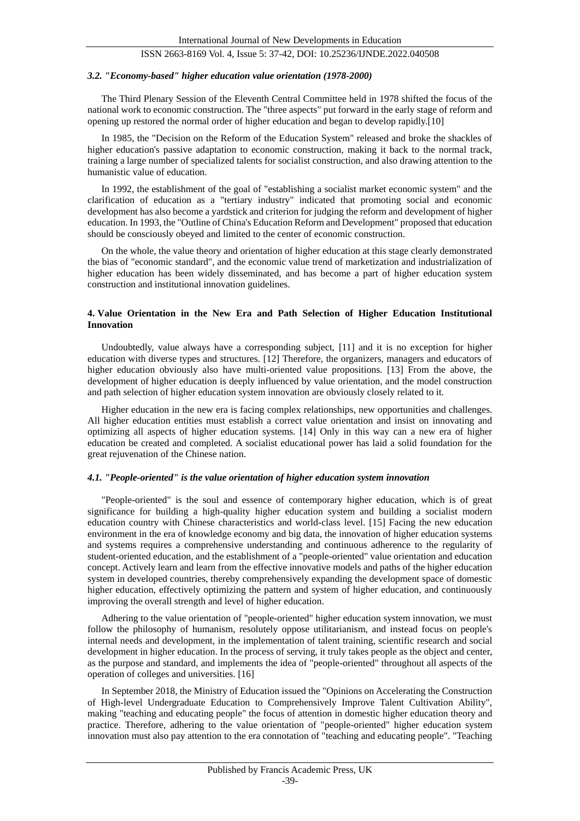#### *3.2. "Economy-based" higher education value orientation (1978-2000)*

The Third Plenary Session of the Eleventh Central Committee held in 1978 shifted the focus of the national work to economic construction. The "three aspects" put forward in the early stage of reform and opening up restored the normal order of higher education and began to develop rapidly.[10]

In 1985, the "Decision on the Reform of the Education System" released and broke the shackles of higher education's passive adaptation to economic construction, making it back to the normal track, training a large number of specialized talents for socialist construction, and also drawing attention to the humanistic value of education.

In 1992, the establishment of the goal of "establishing a socialist market economic system" and the clarification of education as a "tertiary industry" indicated that promoting social and economic development has also become a yardstick and criterion for judging the reform and development of higher education. In 1993, the "Outline of China's Education Reform and Development" proposed that education should be consciously obeyed and limited to the center of economic construction.

On the whole, the value theory and orientation of higher education at this stage clearly demonstrated the bias of "economic standard", and the economic value trend of marketization and industrialization of higher education has been widely disseminated, and has become a part of higher education system construction and institutional innovation guidelines.

#### **4. Value Orientation in the New Era and Path Selection of Higher Education Institutional Innovation**

Undoubtedly, value always have a corresponding subject, [11] and it is no exception for higher education with diverse types and structures. [12] Therefore, the organizers, managers and educators of higher education obviously also have multi-oriented value propositions. [13] From the above, the development of higher education is deeply influenced by value orientation, and the model construction and path selection of higher education system innovation are obviously closely related to it.

Higher education in the new era is facing complex relationships, new opportunities and challenges. All higher education entities must establish a correct value orientation and insist on innovating and optimizing all aspects of higher education systems. [14] Only in this way can a new era of higher education be created and completed. A socialist educational power has laid a solid foundation for the great rejuvenation of the Chinese nation.

#### *4.1. "People-oriented" is the value orientation of higher education system innovation*

"People-oriented" is the soul and essence of contemporary higher education, which is of great significance for building a high-quality higher education system and building a socialist modern education country with Chinese characteristics and world-class level. [15] Facing the new education environment in the era of knowledge economy and big data, the innovation of higher education systems and systems requires a comprehensive understanding and continuous adherence to the regularity of student-oriented education, and the establishment of a "people-oriented" value orientation and education concept. Actively learn and learn from the effective innovative models and paths of the higher education system in developed countries, thereby comprehensively expanding the development space of domestic higher education, effectively optimizing the pattern and system of higher education, and continuously improving the overall strength and level of higher education.

Adhering to the value orientation of "people-oriented" higher education system innovation, we must follow the philosophy of humanism, resolutely oppose utilitarianism, and instead focus on people's internal needs and development, in the implementation of talent training, scientific research and social development in higher education. In the process of serving, it truly takes people as the object and center, as the purpose and standard, and implements the idea of "people-oriented" throughout all aspects of the operation of colleges and universities. [16]

In September 2018, the Ministry of Education issued the "Opinions on Accelerating the Construction of High-level Undergraduate Education to Comprehensively Improve Talent Cultivation Ability", making "teaching and educating people" the focus of attention in domestic higher education theory and practice. Therefore, adhering to the value orientation of "people-oriented" higher education system innovation must also pay attention to the era connotation of "teaching and educating people". "Teaching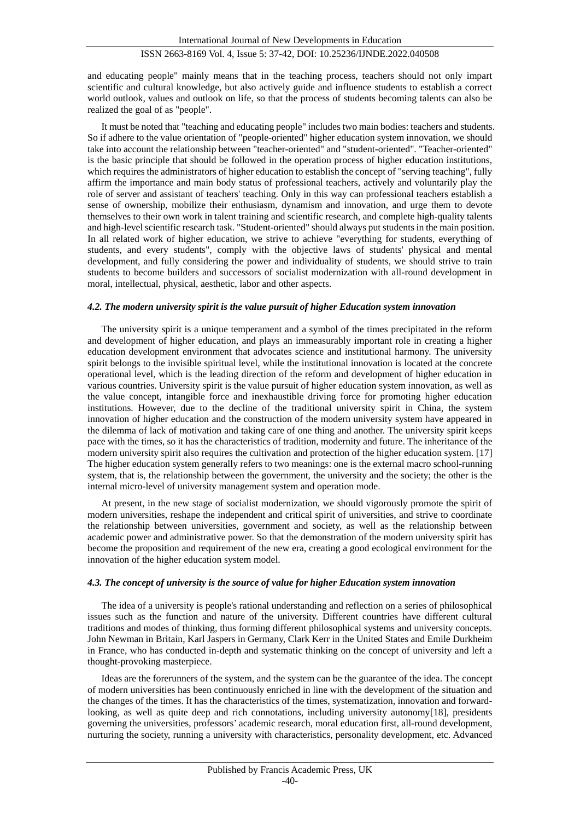and educating people" mainly means that in the teaching process, teachers should not only impart scientific and cultural knowledge, but also actively guide and influence students to establish a correct world outlook, values and outlook on life, so that the process of students becoming talents can also be realized the goal of as "people".

It must be noted that "teaching and educating people" includes two main bodies: teachers and students. So if adhere to the value orientation of "people-oriented" higher education system innovation, we should take into account the relationship between "teacher-oriented" and "student-oriented". "Teacher-oriented" is the basic principle that should be followed in the operation process of higher education institutions, which requires the administrators of higher education to establish the concept of "serving teaching", fully affirm the importance and main body status of professional teachers, actively and voluntarily play the role of server and assistant of teachers' teaching. Only in this way can professional teachers establish a sense of ownership, mobilize their enthusiasm, dynamism and innovation, and urge them to devote themselves to their own work in talent training and scientific research, and complete high-quality talents and high-level scientific research task. "Student-oriented" should always put students in the main position. In all related work of higher education, we strive to achieve "everything for students, everything of students, and every students", comply with the objective laws of students' physical and mental development, and fully considering the power and individuality of students, we should strive to train students to become builders and successors of socialist modernization with all-round development in moral, intellectual, physical, aesthetic, labor and other aspects.

#### *4.2. The modern university spirit is the value pursuit of higher Education system innovation*

The university spirit is a unique temperament and a symbol of the times precipitated in the reform and development of higher education, and plays an immeasurably important role in creating a higher education development environment that advocates science and institutional harmony. The university spirit belongs to the invisible spiritual level, while the institutional innovation is located at the concrete operational level, which is the leading direction of the reform and development of higher education in various countries. University spirit is the value pursuit of higher education system innovation, as well as the value concept, intangible force and inexhaustible driving force for promoting higher education institutions. However, due to the decline of the traditional university spirit in China, the system innovation of higher education and the construction of the modern university system have appeared in the dilemma of lack of motivation and taking care of one thing and another. The university spirit keeps pace with the times, so it has the characteristics of tradition, modernity and future. The inheritance of the modern university spirit also requires the cultivation and protection of the higher education system. [17] The higher education system generally refers to two meanings: one is the external macro school-running system, that is, the relationship between the government, the university and the society; the other is the internal micro-level of university management system and operation mode.

At present, in the new stage of socialist modernization, we should vigorously promote the spirit of modern universities, reshape the independent and critical spirit of universities, and strive to coordinate the relationship between universities, government and society, as well as the relationship between academic power and administrative power. So that the demonstration of the modern university spirit has become the proposition and requirement of the new era, creating a good ecological environment for the innovation of the higher education system model.

#### *4.3. The concept of university is the source of value for higher Education system innovation*

The idea of a university is people's rational understanding and reflection on a series of philosophical issues such as the function and nature of the university. Different countries have different cultural traditions and modes of thinking, thus forming different philosophical systems and university concepts. John Newman in Britain, Karl Jaspers in Germany, Clark Kerr in the United States and Emile Durkheim in France, who has conducted in-depth and systematic thinking on the concept of university and left a thought-provoking masterpiece.

Ideas are the forerunners of the system, and the system can be the guarantee of the idea. The concept of modern universities has been continuously enriched in line with the development of the situation and the changes of the times. It has the characteristics of the times, systematization, innovation and forwardlooking, as well as quite deep and rich connotations, including university autonomy[18], presidents governing the universities, professors' academic research, moral education first, all-round development, nurturing the society, running a university with characteristics, personality development, etc. Advanced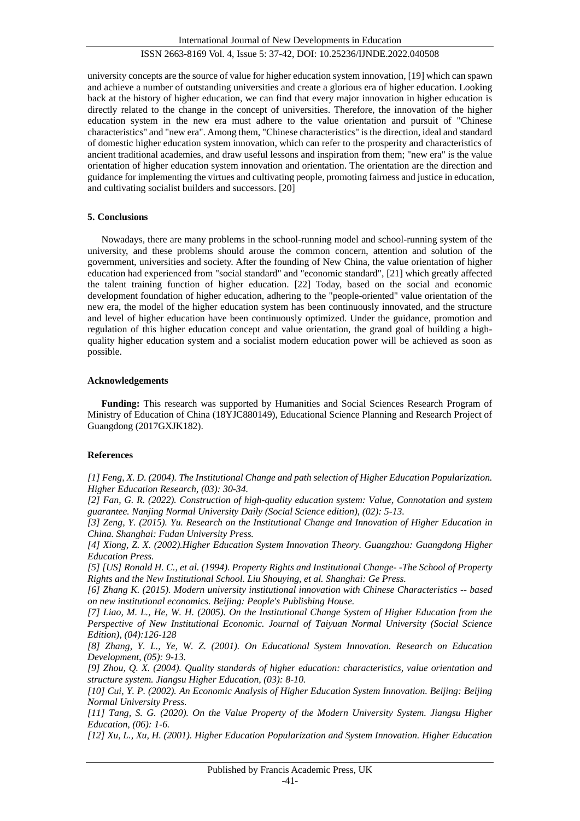International Journal of New Developments in Education

# ISSN 2663-8169 Vol. 4, Issue 5: 37-42, DOI: 10.25236/IJNDE.2022.040508

university concepts are the source of value for higher education system innovation, [19] which can spawn and achieve a number of outstanding universities and create a glorious era of higher education. Looking back at the history of higher education, we can find that every major innovation in higher education is directly related to the change in the concept of universities. Therefore, the innovation of the higher education system in the new era must adhere to the value orientation and pursuit of "Chinese characteristics" and "new era". Among them, "Chinese characteristics" is the direction, ideal and standard of domestic higher education system innovation, which can refer to the prosperity and characteristics of ancient traditional academies, and draw useful lessons and inspiration from them; "new era" is the value orientation of higher education system innovation and orientation. The orientation are the direction and guidance for implementing the virtues and cultivating people, promoting fairness and justice in education, and cultivating socialist builders and successors. [20]

#### **5. Conclusions**

Nowadays, there are many problems in the school-running model and school-running system of the university, and these problems should arouse the common concern, attention and solution of the government, universities and society. After the founding of New China, the value orientation of higher education had experienced from "social standard" and "economic standard", [21] which greatly affected the talent training function of higher education. [22] Today, based on the social and economic development foundation of higher education, adhering to the "people-oriented" value orientation of the new era, the model of the higher education system has been continuously innovated, and the structure and level of higher education have been continuously optimized. Under the guidance, promotion and regulation of this higher education concept and value orientation, the grand goal of building a highquality higher education system and a socialist modern education power will be achieved as soon as possible.

#### **Acknowledgements**

**Funding:** This research was supported by Humanities and Social Sciences Research Program of Ministry of Education of China (18YJC880149), Educational Science Planning and Research Project of Guangdong (2017GXJK182).

#### **References**

*[1] Feng, X. D. (2004). The Institutional Change and path selection of Higher Education Popularization. Higher Education Research, (03): 30-34.*

*[2] Fan, G. R. (2022). Construction of high-quality education system: Value, Connotation and system guarantee. Nanjing Normal University Daily (Social Science edition), (02): 5-13.*

*[3] Zeng, Y. (2015). Yu. Research on the Institutional Change and Innovation of Higher Education in China. Shanghai: Fudan University Press.*

*[4] Xiong, Z. X. (2002).Higher Education System Innovation Theory. Guangzhou: Guangdong Higher Education Press.*

*[5] [US] Ronald H. C., et al. (1994). Property Rights and Institutional Change- -The School of Property Rights and the New Institutional School. Liu Shouying, et al. Shanghai: Ge Press.*

*[6] Zhang K. (2015). Modern university institutional innovation with Chinese Characteristics -- based on new institutional economics. Beijing: People's Publishing House.*

*[7] Liao, M. L., He, W. H. (2005). On the Institutional Change System of Higher Education from the Perspective of New Institutional Economic. Journal of Taiyuan Normal University (Social Science Edition), (04):126-128*

*[8] Zhang, Y. L., Ye, W. Z. (2001). On Educational System Innovation. Research on Education Development, (05): 9-13.*

*[9] Zhou, Q. X. (2004). Quality standards of higher education: characteristics, value orientation and structure system. Jiangsu Higher Education, (03): 8-10.*

*[10] Cui, Y. P. (2002). An Economic Analysis of Higher Education System Innovation. Beijing: Beijing Normal University Press.*

*[11] Tang, S. G. (2020). On the Value Property of the Modern University System. Jiangsu Higher Education, (06): 1-6.*

*[12] Xu, L., Xu, H. (2001). Higher Education Popularization and System Innovation. Higher Education*